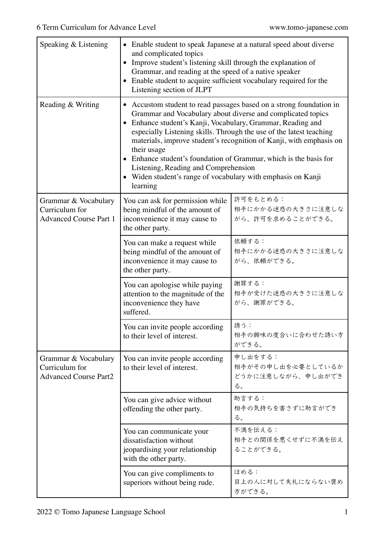| Speaking & Listening                                                    | • Enable student to speak Japanese at a natural speed about diverse<br>and complicated topics<br>Improve student's listening skill through the explanation of<br>$\bullet$<br>Grammar, and reading at the speed of a native speaker<br>• Enable student to acquire sufficient vocabulary required for the<br>Listening section of JLPT                                                                                                                                                                                                            |                                                         |  |
|-------------------------------------------------------------------------|---------------------------------------------------------------------------------------------------------------------------------------------------------------------------------------------------------------------------------------------------------------------------------------------------------------------------------------------------------------------------------------------------------------------------------------------------------------------------------------------------------------------------------------------------|---------------------------------------------------------|--|
| Reading & Writing                                                       | Accustom student to read passages based on a strong foundation in<br>Grammar and Vocabulary about diverse and complicated topics<br>Enhance student's Kanji, Vocabulary, Grammar, Reading and<br>especially Listening skills. Through the use of the latest teaching<br>materials, improve student's recognition of Kanji, with emphasis on<br>their usage<br>Enhance student's foundation of Grammar, which is the basis for<br>Listening, Reading and Comprehension<br>• Widen student's range of vocabulary with emphasis on Kanji<br>learning |                                                         |  |
| Grammar & Vocabulary<br>Curriculum for<br><b>Advanced Course Part 1</b> | You can ask for permission while<br>being mindful of the amount of<br>inconvenience it may cause to<br>the other party.                                                                                                                                                                                                                                                                                                                                                                                                                           | 許可をもとめる:<br>相手にかかる迷惑の大きさに注意しな<br>がら、許可を求めることができる。       |  |
|                                                                         | You can make a request while<br>being mindful of the amount of<br>inconvenience it may cause to<br>the other party.                                                                                                                                                                                                                                                                                                                                                                                                                               | 依頼する:<br>相手にかかる迷惑の大きさに注意しな<br>がら、依頼ができる。                |  |
|                                                                         | You can apologise while paying<br>attention to the magnitude of the<br>inconvenience they have<br>suffered.                                                                                                                                                                                                                                                                                                                                                                                                                                       | 謝罪する:<br>相手が受けた迷惑の大きさに注意しな<br>がら、謝罪ができる。                |  |
|                                                                         | You can invite people according<br>to their level of interest.                                                                                                                                                                                                                                                                                                                                                                                                                                                                                    | 誘う:<br>相手の興味の度合いに合わせた誘い方<br>ができる。                       |  |
| Grammar & Vocabulary<br>Curriculum for<br><b>Advanced Course Part2</b>  | You can invite people according<br>to their level of interest.                                                                                                                                                                                                                                                                                                                                                                                                                                                                                    | 申し出をする:<br>相手がその申し出を必要としているか<br>どうかに注意しながら、申し出ができ<br>る。 |  |
|                                                                         | You can give advice without<br>offending the other party.                                                                                                                                                                                                                                                                                                                                                                                                                                                                                         | 助言する:<br>相手の気持ちを害さずに助言ができ<br>る。                         |  |
|                                                                         | You can communicate your<br>dissatisfaction without<br>jeopardising your relationship<br>with the other party.                                                                                                                                                                                                                                                                                                                                                                                                                                    | 不満を伝える:<br>相手との関係を悪くせずに不満を伝え<br>ることができる。                |  |
|                                                                         | You can give compliments to<br>superiors without being rude.                                                                                                                                                                                                                                                                                                                                                                                                                                                                                      | ほめる:<br>目上の人に対して失礼にならない褒め<br>方ができる。                     |  |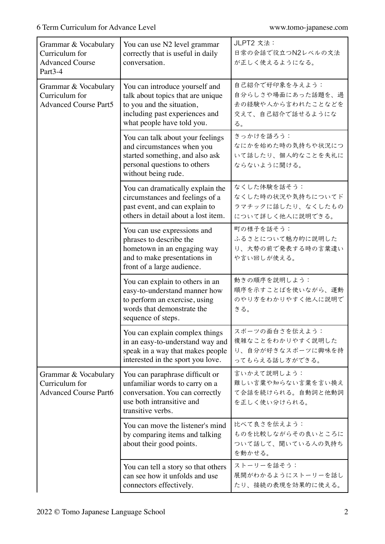| Grammar & Vocabulary<br>Curriculum for<br><b>Advanced Course</b><br>Part <sub>3-4</sub> | You can use N2 level grammar<br>correctly that is useful in daily<br>conversation.                                                                               | JLPT2 文法:<br>日常の会話で役立つN2レベルの文法<br>が正しく使えるようになる。                                    |
|-----------------------------------------------------------------------------------------|------------------------------------------------------------------------------------------------------------------------------------------------------------------|------------------------------------------------------------------------------------|
| Grammar & Vocabulary<br>Curriculum for<br><b>Advanced Course Part5</b>                  | You can introduce yourself and<br>talk about topics that are unique<br>to you and the situation,<br>including past experiences and<br>what people have told you. | 自己紹介で好印象を与えよう:<br>自分らしさや場面にあった話題を、過<br>去の経験や人から言われたことなどを<br>交えて、自己紹介で話せるようにな<br>る。 |
|                                                                                         | You can talk about your feelings<br>and circumstances when you<br>started something, and also ask<br>personal questions to others<br>without being rude.         | きっかけを語ろう:<br>なにかを始めた時の気持ちや状況につ<br>いて話したり、個人的なことを失礼に<br>ならないように聞ける。                 |
|                                                                                         | You can dramatically explain the<br>circumstances and feelings of a<br>past event, and can explain to<br>others in detail about a lost item.                     | なくした体験を話そう:<br>なくした時の状況や気持ちについてド<br>ラマチックに話したり、なくしたもの<br>について詳しく他人に説明できる。          |
|                                                                                         | You can use expressions and<br>phrases to describe the<br>hometown in an engaging way<br>and to make presentations in<br>front of a large audience.              | 町の様子を話そう:<br>ふるさとについて魅力的に説明した<br>り、大勢の前で発表する時の言葉遣い<br>や言い回しが使える。                   |
|                                                                                         | You can explain to others in an<br>easy-to-understand manner how<br>to perform an exercise, using<br>words that demonstrate the<br>sequence of steps.            | 動きの順序を説明しよう:<br>順序を示すことばを使いながら、運動<br>のやり方をわかりやすく他人に説明で<br>きる。                      |
|                                                                                         | You can explain complex things<br>in an easy-to-understand way and<br>speak in a way that makes people<br>interested in the sport you love.                      | スポーツの面白さを伝えよう:<br>複雑なことをわかりやすく説明した<br>り、自分が好きなスポーツに興味を持<br>ってもらえる話し方ができる。          |
| Grammar & Vocabulary<br>Curriculum for<br><b>Advanced Course Part6</b>                  | You can paraphrase difficult or<br>unfamiliar words to carry on a<br>conversation. You can correctly<br>use both intransitive and<br>transitive verbs.           | 言いかえて説明しよう:<br>難しい言葉や知らない言葉を言い換え<br>て会話を続けられる。自動詞と他動詞<br>を正しく使い分けられる。              |
|                                                                                         | You can move the listener's mind<br>by comparing items and talking<br>about their good points.                                                                   | 比べて良さを伝えよう:<br>ものを比較しながらその良いところに<br>ついて話して、聞いている人の気持ち<br>を動かせる。                    |
|                                                                                         | You can tell a story so that others<br>can see how it unfolds and use<br>connectors effectively.                                                                 | ストーリーを話そう:<br>展開がわかるようにストーリーを話し<br>たり、接続の表現を効果的に使える。                               |